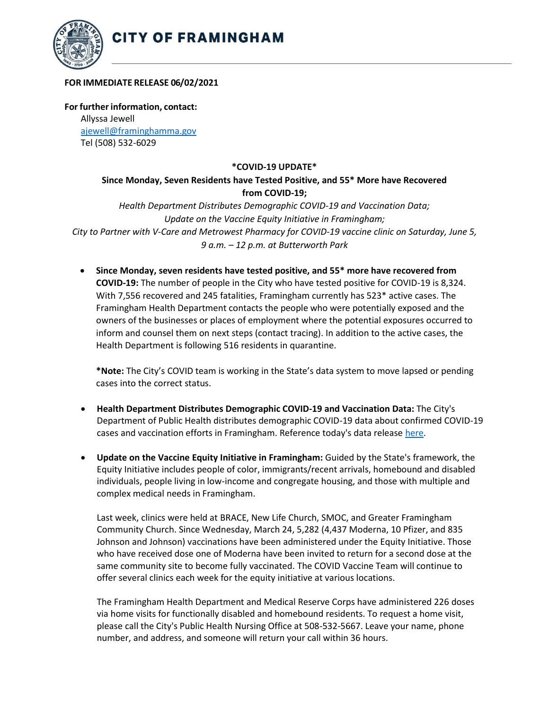

## **FOR IMMEDIATE RELEASE 06/02/2021**

**For further information, contact:** Allyssa Jewell [ajewell@framinghamma.gov](mailto:ajewell@framinghamma.gov) Tel (508) 532-6029

## **\*COVID-19 UPDATE\***

## **Since Monday, Seven Residents have Tested Positive, and 55\* More have Recovered from COVID-19;**

*Health Department Distributes Demographic COVID-19 and Vaccination Data; Update on the Vaccine Equity Initiative in Framingham; City to Partner with V-Care and Metrowest Pharmacy for COVID-19 vaccine clinic on Saturday, June 5, 9 a.m. – 12 p.m. at Butterworth Park*

• **Since Monday, seven residents have tested positive, and 55\* more have recovered from COVID-19:** The number of people in the City who have tested positive for COVID-19 is 8,324. With 7,556 recovered and 245 fatalities, Framingham currently has 523\* active cases. The Framingham Health Department contacts the people who were potentially exposed and the owners of the businesses or places of employment where the potential exposures occurred to inform and counsel them on next steps (contact tracing). In addition to the active cases, the Health Department is following 516 residents in quarantine.

**\*Note:** The City's COVID team is working in the State's data system to move lapsed or pending cases into the correct status.

- **Health Department Distributes Demographic COVID-19 and Vaccination Data:** The City's Department of Public Health distributes demographic COVID-19 data about confirmed COVID-19 cases and vaccination efforts in Framingham. Reference today's data release [here.](https://www.framinghamma.gov/DocumentCenter/View/42283/COVID-19-Data-060221-FINAL)
- **Update on the Vaccine Equity Initiative in Framingham:** Guided by the State's framework, the Equity Initiative includes people of color, immigrants/recent arrivals, homebound and disabled individuals, people living in low-income and congregate housing, and those with multiple and complex medical needs in Framingham.

Last week, clinics were held at BRACE, New Life Church, SMOC, and Greater Framingham Community Church. Since Wednesday, March 24, 5,282 (4,437 Moderna, 10 Pfizer, and 835 Johnson and Johnson) vaccinations have been administered under the Equity Initiative. Those who have received dose one of Moderna have been invited to return for a second dose at the same community site to become fully vaccinated. The COVID Vaccine Team will continue to offer several clinics each week for the equity initiative at various locations.

The Framingham Health Department and Medical Reserve Corps have administered 226 doses via home visits for functionally disabled and homebound residents. To request a home visit, please call the City's Public Health Nursing Office at 508-532-5667. Leave your name, phone number, and address, and someone will return your call within 36 hours.